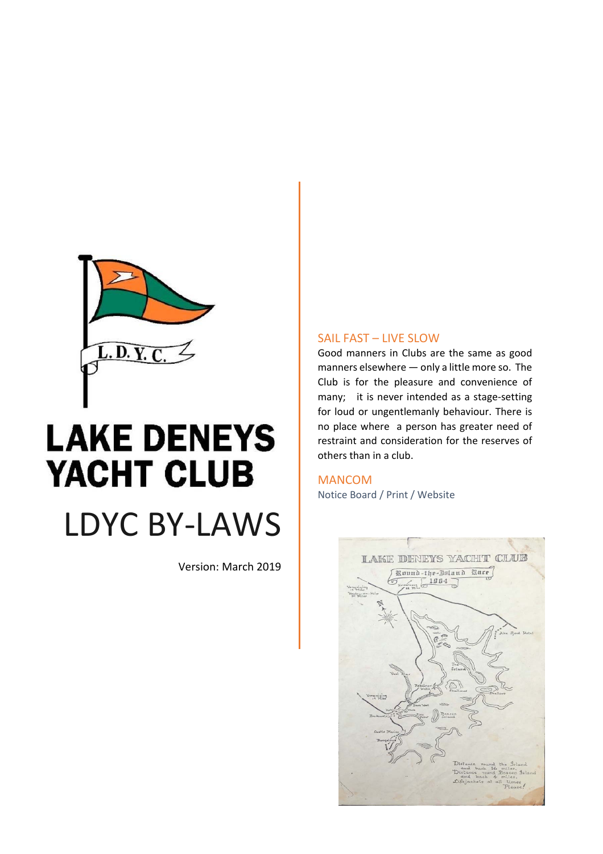

# **LAKE DENEYS** YACHT CLUB LDYC BY‐LAWS

Version: March 2019

# SAIL FAST – LIVE SLOW

Good manners in Clubs are the same as good manners elsewhere — only a little more so. The Club is for the pleasure and convenience of many; it is never intended as a stage-setting for loud or ungentlemanly behaviour. There is no place where a person has greater need of restraint and consideration for the reserves of others than in a club.

MANCOM Notice Board / Print / Website

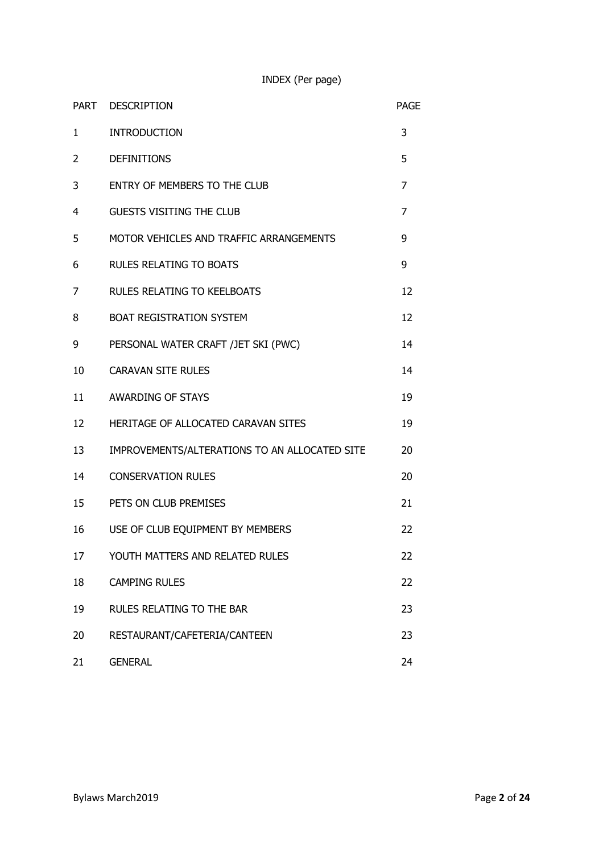INDEX (Per page)

|              | PART DESCRIPTION                              | <b>PAGE</b>    |
|--------------|-----------------------------------------------|----------------|
| $\mathbf{1}$ | <b>INTRODUCTION</b>                           | 3              |
| 2            | <b>DEFINITIONS</b>                            | 5              |
| 3            | ENTRY OF MEMBERS TO THE CLUB                  | 7              |
| 4            | <b>GUESTS VISITING THE CLUB</b>               | $\overline{7}$ |
| 5            | MOTOR VEHICLES AND TRAFFIC ARRANGEMENTS       | 9              |
| 6            | <b>RULES RELATING TO BOATS</b>                | 9              |
| 7            | <b>RULES RELATING TO KEELBOATS</b>            | 12             |
| 8            | <b>BOAT REGISTRATION SYSTEM</b>               | 12             |
| 9            | PERSONAL WATER CRAFT /JET SKI (PWC)           | 14             |
| 10           | <b>CARAVAN SITE RULES</b>                     | 14             |
| 11           | <b>AWARDING OF STAYS</b>                      | 19             |
| 12           | HERITAGE OF ALLOCATED CARAVAN SITES           | 19             |
| 13           | IMPROVEMENTS/ALTERATIONS TO AN ALLOCATED SITE | 20             |
| 14           | <b>CONSERVATION RULES</b>                     | 20             |
| 15           | PETS ON CLUB PREMISES                         | 21             |
| 16           | USE OF CLUB EQUIPMENT BY MEMBERS              | 22             |
| 17           | YOUTH MATTERS AND RELATED RULES               | 22             |
| 18           | <b>CAMPING RULES</b>                          | 22             |
| 19           | RULES RELATING TO THE BAR                     | 23             |
| 20           | RESTAURANT/CAFETERIA/CANTEEN                  | 23             |
| 21           | <b>GENERAL</b>                                | 24             |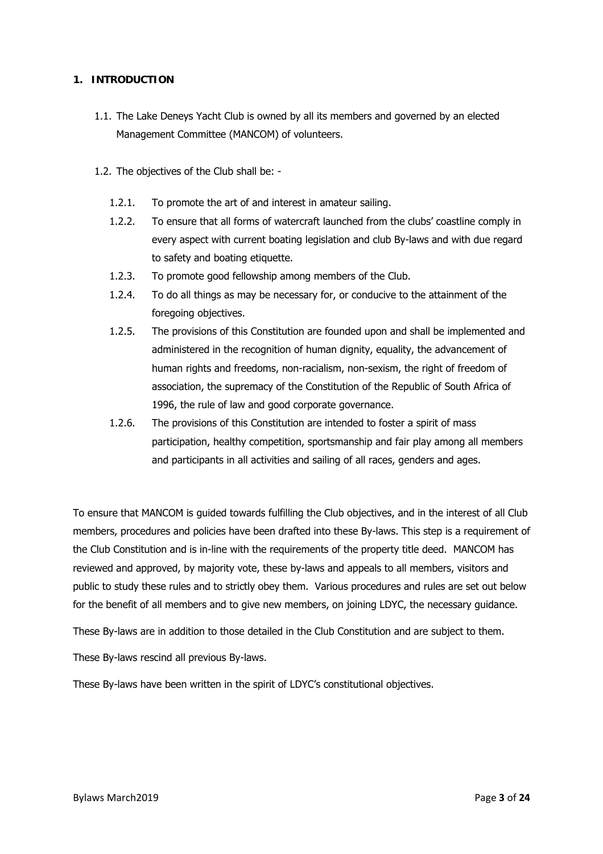# **1. INTRODUCTION**

- 1.1. The Lake Deneys Yacht Club is owned by all its members and governed by an elected Management Committee (MANCOM) of volunteers.
- 1.2. The objectives of the Club shall be:
	- 1.2.1. To promote the art of and interest in amateur sailing.
	- 1.2.2. To ensure that all forms of watercraft launched from the clubs' coastline comply in every aspect with current boating legislation and club By-laws and with due regard to safety and boating etiquette.
	- 1.2.3. To promote good fellowship among members of the Club.
	- 1.2.4. To do all things as may be necessary for, or conducive to the attainment of the foregoing objectives.
	- 1.2.5. The provisions of this Constitution are founded upon and shall be implemented and administered in the recognition of human dignity, equality, the advancement of human rights and freedoms, non-racialism, non-sexism, the right of freedom of association, the supremacy of the Constitution of the Republic of South Africa of 1996, the rule of law and good corporate governance.
	- 1.2.6. The provisions of this Constitution are intended to foster a spirit of mass participation, healthy competition, sportsmanship and fair play among all members and participants in all activities and sailing of all races, genders and ages.

To ensure that MANCOM is guided towards fulfilling the Club objectives, and in the interest of all Club members, procedures and policies have been drafted into these By-laws. This step is a requirement of the Club Constitution and is in-line with the requirements of the property title deed. MANCOM has reviewed and approved, by majority vote, these by-laws and appeals to all members, visitors and public to study these rules and to strictly obey them. Various procedures and rules are set out below for the benefit of all members and to give new members, on joining LDYC, the necessary guidance.

These By-laws are in addition to those detailed in the Club Constitution and are subject to them.

These By-laws rescind all previous By-laws.

These By-laws have been written in the spirit of LDYC's constitutional objectives.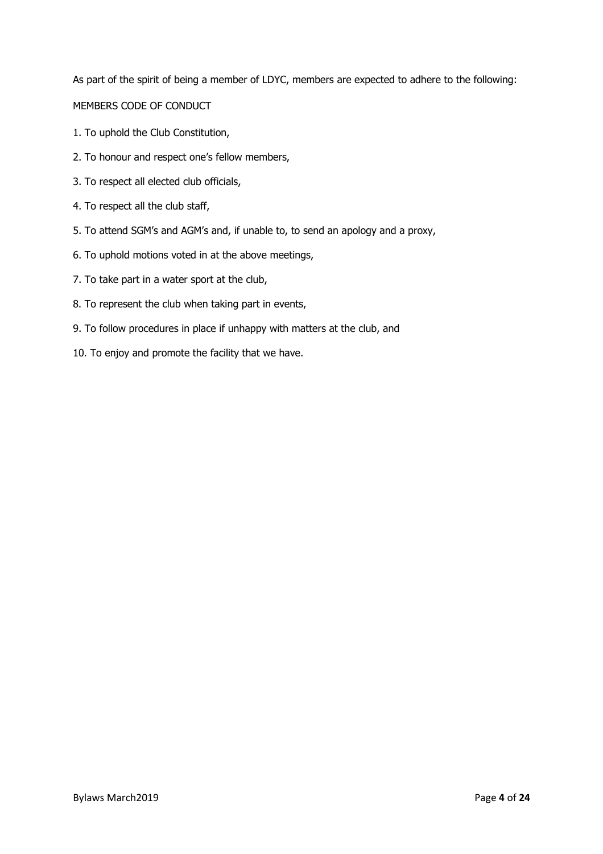As part of the spirit of being a member of LDYC, members are expected to adhere to the following: MEMBERS CODE OF CONDUCT

- 1. To uphold the Club Constitution,
- 2. To honour and respect one's fellow members,
- 3. To respect all elected club officials,
- 4. To respect all the club staff,
- 5. To attend SGM's and AGM's and, if unable to, to send an apology and a proxy,
- 6. To uphold motions voted in at the above meetings,
- 7. To take part in a water sport at the club,
- 8. To represent the club when taking part in events,
- 9. To follow procedures in place if unhappy with matters at the club, and
- 10. To enjoy and promote the facility that we have.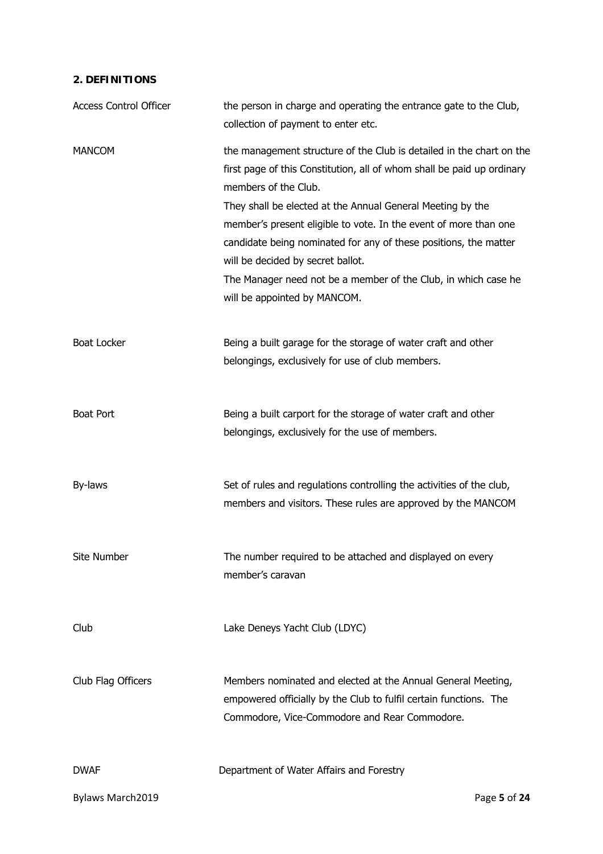# **2. DEFINITIONS**

| <b>Access Control Officer</b> | the person in charge and operating the entrance gate to the Club,<br>collection of payment to enter etc.                                                                                                                                                                                                                                                                                                                                                                                                            |  |  |
|-------------------------------|---------------------------------------------------------------------------------------------------------------------------------------------------------------------------------------------------------------------------------------------------------------------------------------------------------------------------------------------------------------------------------------------------------------------------------------------------------------------------------------------------------------------|--|--|
| <b>MANCOM</b>                 | the management structure of the Club is detailed in the chart on the<br>first page of this Constitution, all of whom shall be paid up ordinary<br>members of the Club.<br>They shall be elected at the Annual General Meeting by the<br>member's present eligible to vote. In the event of more than one<br>candidate being nominated for any of these positions, the matter<br>will be decided by secret ballot.<br>The Manager need not be a member of the Club, in which case he<br>will be appointed by MANCOM. |  |  |
| <b>Boat Locker</b>            | Being a built garage for the storage of water craft and other<br>belongings, exclusively for use of club members.                                                                                                                                                                                                                                                                                                                                                                                                   |  |  |
| <b>Boat Port</b>              | Being a built carport for the storage of water craft and other<br>belongings, exclusively for the use of members.                                                                                                                                                                                                                                                                                                                                                                                                   |  |  |
| By-laws                       | Set of rules and regulations controlling the activities of the club,<br>members and visitors. These rules are approved by the MANCOM                                                                                                                                                                                                                                                                                                                                                                                |  |  |
| Site Number                   | The number required to be attached and displayed on every<br>member's caravan                                                                                                                                                                                                                                                                                                                                                                                                                                       |  |  |
| Club                          | Lake Deneys Yacht Club (LDYC)                                                                                                                                                                                                                                                                                                                                                                                                                                                                                       |  |  |
| Club Flag Officers            | Members nominated and elected at the Annual General Meeting,<br>empowered officially by the Club to fulfil certain functions. The<br>Commodore, Vice-Commodore and Rear Commodore.                                                                                                                                                                                                                                                                                                                                  |  |  |
| <b>DWAF</b>                   | Department of Water Affairs and Forestry                                                                                                                                                                                                                                                                                                                                                                                                                                                                            |  |  |
| Bylaws March2019              | Page 5 of 24                                                                                                                                                                                                                                                                                                                                                                                                                                                                                                        |  |  |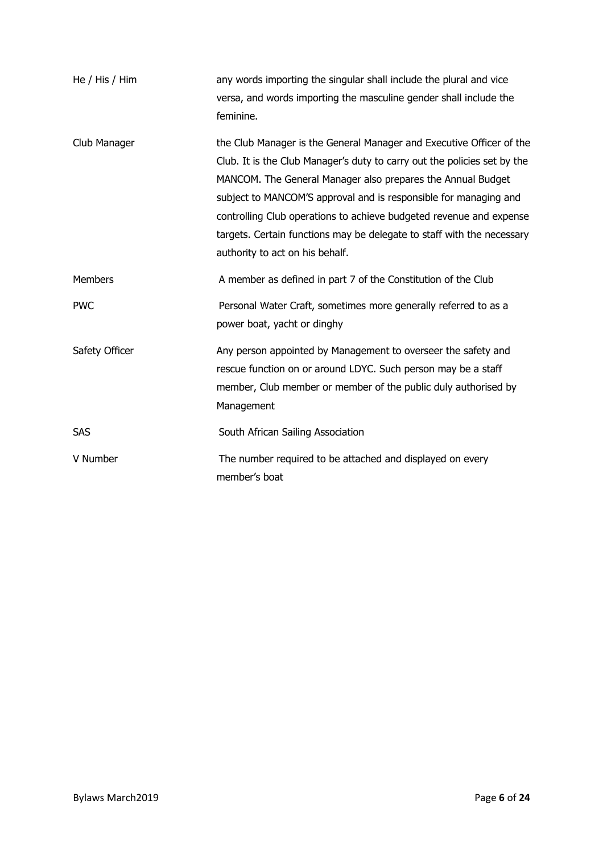| He / His / Him | any words importing the singular shall include the plural and vice<br>versa, and words importing the masculine gender shall include the<br>feminine.                                                                                                                                                                                                                                                                                                                    |
|----------------|-------------------------------------------------------------------------------------------------------------------------------------------------------------------------------------------------------------------------------------------------------------------------------------------------------------------------------------------------------------------------------------------------------------------------------------------------------------------------|
| Club Manager   | the Club Manager is the General Manager and Executive Officer of the<br>Club. It is the Club Manager's duty to carry out the policies set by the<br>MANCOM. The General Manager also prepares the Annual Budget<br>subject to MANCOM'S approval and is responsible for managing and<br>controlling Club operations to achieve budgeted revenue and expense<br>targets. Certain functions may be delegate to staff with the necessary<br>authority to act on his behalf. |
| <b>Members</b> | A member as defined in part 7 of the Constitution of the Club                                                                                                                                                                                                                                                                                                                                                                                                           |
| <b>PWC</b>     | Personal Water Craft, sometimes more generally referred to as a<br>power boat, yacht or dinghy                                                                                                                                                                                                                                                                                                                                                                          |
| Safety Officer | Any person appointed by Management to overseer the safety and<br>rescue function on or around LDYC. Such person may be a staff<br>member, Club member or member of the public duly authorised by<br>Management                                                                                                                                                                                                                                                          |
| SAS            | South African Sailing Association                                                                                                                                                                                                                                                                                                                                                                                                                                       |
| V Number       | The number required to be attached and displayed on every<br>member's boat                                                                                                                                                                                                                                                                                                                                                                                              |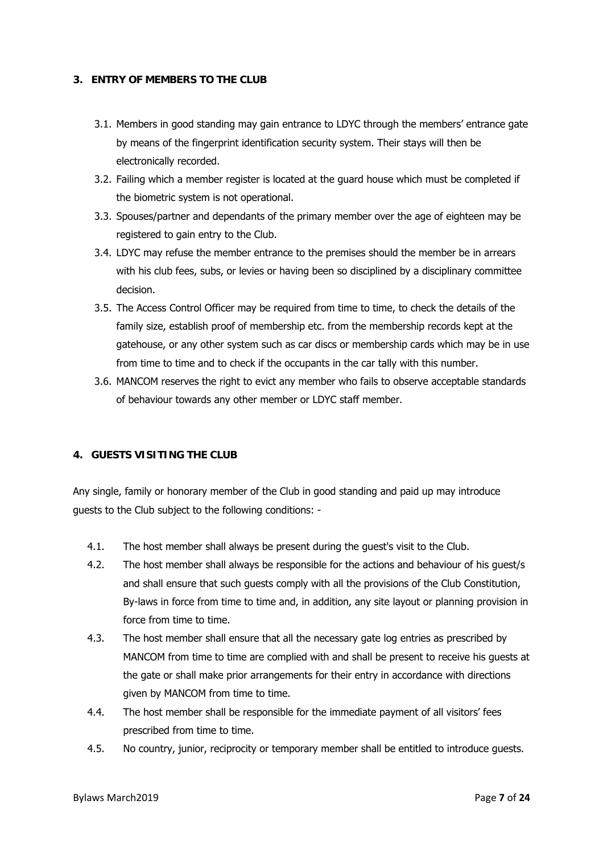#### **3. ENTRY OF MEMBERS TO THE CLUB**

- 3.1. Members in good standing may gain entrance to LDYC through the members' entrance gate by means of the fingerprint identification security system. Their stays will then be electronically recorded.
- 3.2. Failing which a member register is located at the guard house which must be completed if the biometric system is not operational.
- 3.3. Spouses/partner and dependants of the primary member over the age of eighteen may be registered to gain entry to the Club.
- 3.4. LDYC may refuse the member entrance to the premises should the member be in arrears with his club fees, subs, or levies or having been so disciplined by a disciplinary committee decision.
- 3.5. The Access Control Officer may be required from time to time, to check the details of the family size, establish proof of membership etc. from the membership records kept at the gatehouse, or any other system such as car discs or membership cards which may be in use from time to time and to check if the occupants in the car tally with this number.
- 3.6. MANCOM reserves the right to evict any member who fails to observe acceptable standards of behaviour towards any other member or LDYC staff member.

#### **4. GUESTS VISITING THE CLUB**

Any single, family or honorary member of the Club in good standing and paid up may introduce guests to the Club subject to the following conditions: -

- 4.1. The host member shall always be present during the guest's visit to the Club.
- 4.2. The host member shall always be responsible for the actions and behaviour of his guest/s and shall ensure that such guests comply with all the provisions of the Club Constitution, By-laws in force from time to time and, in addition, any site layout or planning provision in force from time to time.
- 4.3. The host member shall ensure that all the necessary gate log entries as prescribed by MANCOM from time to time are complied with and shall be present to receive his guests at the gate or shall make prior arrangements for their entry in accordance with directions given by MANCOM from time to time.
- 4.4. The host member shall be responsible for the immediate payment of all visitors' fees prescribed from time to time.
- 4.5. No country, junior, reciprocity or temporary member shall be entitled to introduce guests.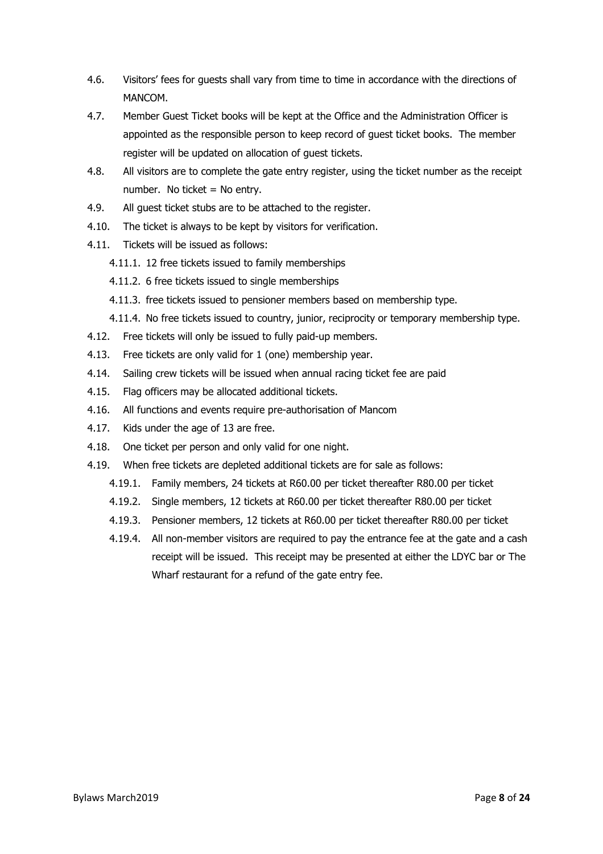- 4.6. Visitors' fees for guests shall vary from time to time in accordance with the directions of MANCOM.
- 4.7. Member Guest Ticket books will be kept at the Office and the Administration Officer is appointed as the responsible person to keep record of guest ticket books. The member register will be updated on allocation of guest tickets.
- 4.8. All visitors are to complete the gate entry register, using the ticket number as the receipt number. No ticket = No entry.
- 4.9. All guest ticket stubs are to be attached to the register.
- 4.10. The ticket is always to be kept by visitors for verification.
- 4.11. Tickets will be issued as follows:
	- 4.11.1. 12 free tickets issued to family memberships
	- 4.11.2. 6 free tickets issued to single memberships
	- 4.11.3. free tickets issued to pensioner members based on membership type.
	- 4.11.4. No free tickets issued to country, junior, reciprocity or temporary membership type.
- 4.12. Free tickets will only be issued to fully paid-up members.
- 4.13. Free tickets are only valid for 1 (one) membership year.
- 4.14. Sailing crew tickets will be issued when annual racing ticket fee are paid
- 4.15. Flag officers may be allocated additional tickets.
- 4.16. All functions and events require pre-authorisation of Mancom
- 4.17. Kids under the age of 13 are free.
- 4.18. One ticket per person and only valid for one night.
- 4.19. When free tickets are depleted additional tickets are for sale as follows:
	- 4.19.1. Family members, 24 tickets at R60.00 per ticket thereafter R80.00 per ticket
	- 4.19.2. Single members, 12 tickets at R60.00 per ticket thereafter R80.00 per ticket
	- 4.19.3. Pensioner members, 12 tickets at R60.00 per ticket thereafter R80.00 per ticket
	- 4.19.4. All non-member visitors are required to pay the entrance fee at the gate and a cash receipt will be issued. This receipt may be presented at either the LDYC bar or The Wharf restaurant for a refund of the gate entry fee.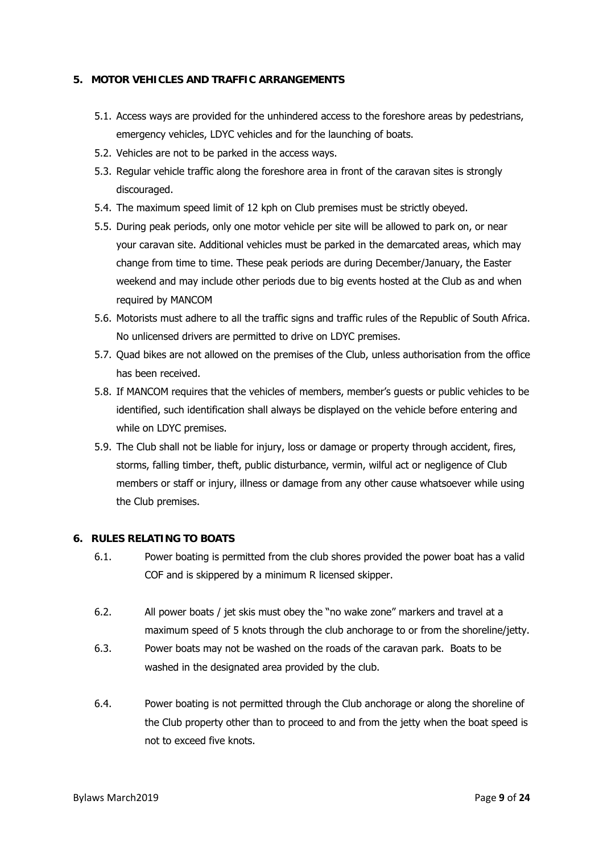# **5. MOTOR VEHICLES AND TRAFFIC ARRANGEMENTS**

- 5.1. Access ways are provided for the unhindered access to the foreshore areas by pedestrians, emergency vehicles, LDYC vehicles and for the launching of boats.
- 5.2. Vehicles are not to be parked in the access ways.
- 5.3. Regular vehicle traffic along the foreshore area in front of the caravan sites is strongly discouraged.
- 5.4. The maximum speed limit of 12 kph on Club premises must be strictly obeyed.
- 5.5. During peak periods, only one motor vehicle per site will be allowed to park on, or near your caravan site. Additional vehicles must be parked in the demarcated areas, which may change from time to time. These peak periods are during December/January, the Easter weekend and may include other periods due to big events hosted at the Club as and when required by MANCOM
- 5.6. Motorists must adhere to all the traffic signs and traffic rules of the Republic of South Africa. No unlicensed drivers are permitted to drive on LDYC premises.
- 5.7. Quad bikes are not allowed on the premises of the Club, unless authorisation from the office has been received.
- 5.8. If MANCOM requires that the vehicles of members, member's guests or public vehicles to be identified, such identification shall always be displayed on the vehicle before entering and while on LDYC premises.
- 5.9. The Club shall not be liable for injury, loss or damage or property through accident, fires, storms, falling timber, theft, public disturbance, vermin, wilful act or negligence of Club members or staff or injury, illness or damage from any other cause whatsoever while using the Club premises.

#### **6. RULES RELATING TO BOATS**

- 6.1. Power boating is permitted from the club shores provided the power boat has a valid COF and is skippered by a minimum R licensed skipper.
- 6.2. All power boats / jet skis must obey the "no wake zone" markers and travel at a maximum speed of 5 knots through the club anchorage to or from the shoreline/jetty.
- 6.3. Power boats may not be washed on the roads of the caravan park. Boats to be washed in the designated area provided by the club.
- 6.4. Power boating is not permitted through the Club anchorage or along the shoreline of the Club property other than to proceed to and from the jetty when the boat speed is not to exceed five knots.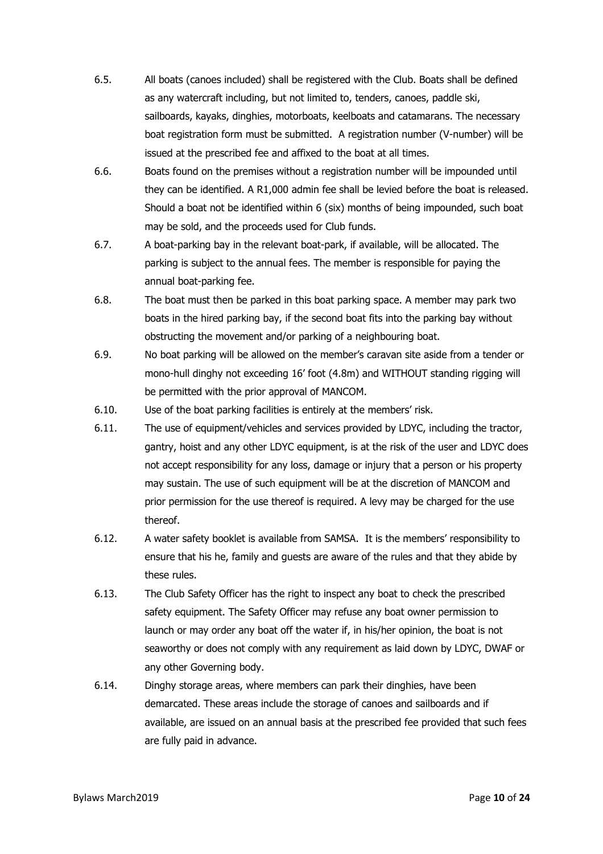- 6.5. All boats (canoes included) shall be registered with the Club. Boats shall be defined as any watercraft including, but not limited to, tenders, canoes, paddle ski, sailboards, kayaks, dinghies, motorboats, keelboats and catamarans. The necessary boat registration form must be submitted. A registration number (V-number) will be issued at the prescribed fee and affixed to the boat at all times.
- 6.6. Boats found on the premises without a registration number will be impounded until they can be identified. A R1,000 admin fee shall be levied before the boat is released. Should a boat not be identified within 6 (six) months of being impounded, such boat may be sold, and the proceeds used for Club funds.
- 6.7. A boat-parking bay in the relevant boat-park, if available, will be allocated. The parking is subject to the annual fees. The member is responsible for paying the annual boat-parking fee.
- 6.8. The boat must then be parked in this boat parking space. A member may park two boats in the hired parking bay, if the second boat fits into the parking bay without obstructing the movement and/or parking of a neighbouring boat.
- 6.9. No boat parking will be allowed on the member's caravan site aside from a tender or mono-hull dinghy not exceeding 16' foot (4.8m) and WITHOUT standing rigging will be permitted with the prior approval of MANCOM.
- 6.10. Use of the boat parking facilities is entirely at the members' risk.
- 6.11. The use of equipment/vehicles and services provided by LDYC, including the tractor, gantry, hoist and any other LDYC equipment, is at the risk of the user and LDYC does not accept responsibility for any loss, damage or injury that a person or his property may sustain. The use of such equipment will be at the discretion of MANCOM and prior permission for the use thereof is required. A levy may be charged for the use thereof.
- 6.12. A water safety booklet is available from SAMSA. It is the members' responsibility to ensure that his he, family and guests are aware of the rules and that they abide by these rules.
- 6.13. The Club Safety Officer has the right to inspect any boat to check the prescribed safety equipment. The Safety Officer may refuse any boat owner permission to launch or may order any boat off the water if, in his/her opinion, the boat is not seaworthy or does not comply with any requirement as laid down by LDYC, DWAF or any other Governing body.
- 6.14. Dinghy storage areas, where members can park their dinghies, have been demarcated. These areas include the storage of canoes and sailboards and if available, are issued on an annual basis at the prescribed fee provided that such fees are fully paid in advance.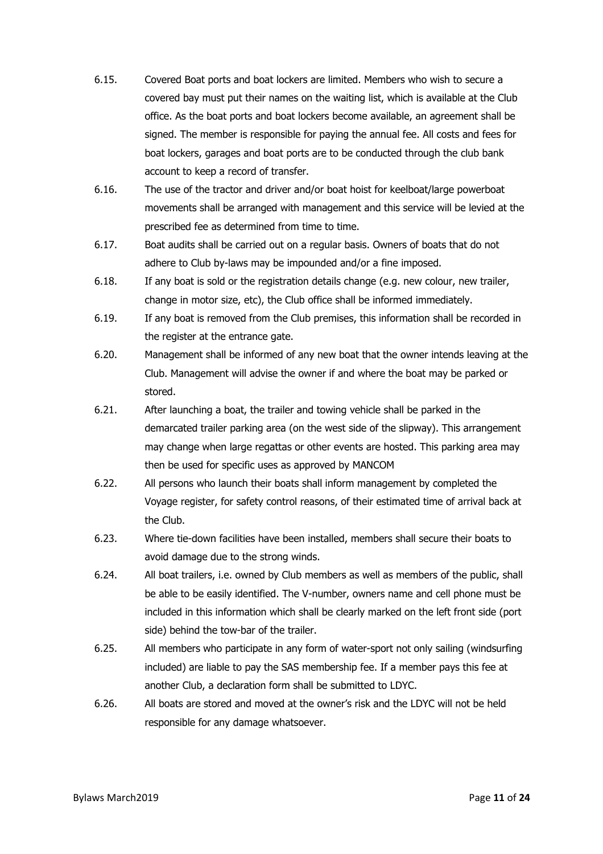- 6.15. Covered Boat ports and boat lockers are limited. Members who wish to secure a covered bay must put their names on the waiting list, which is available at the Club office. As the boat ports and boat lockers become available, an agreement shall be signed. The member is responsible for paying the annual fee. All costs and fees for boat lockers, garages and boat ports are to be conducted through the club bank account to keep a record of transfer.
- 6.16. The use of the tractor and driver and/or boat hoist for keelboat/large powerboat movements shall be arranged with management and this service will be levied at the prescribed fee as determined from time to time.
- 6.17. Boat audits shall be carried out on a regular basis. Owners of boats that do not adhere to Club by-laws may be impounded and/or a fine imposed.
- 6.18. If any boat is sold or the registration details change (e.g. new colour, new trailer, change in motor size, etc), the Club office shall be informed immediately.
- 6.19. If any boat is removed from the Club premises, this information shall be recorded in the register at the entrance gate.
- 6.20. Management shall be informed of any new boat that the owner intends leaving at the Club. Management will advise the owner if and where the boat may be parked or stored.
- 6.21. After launching a boat, the trailer and towing vehicle shall be parked in the demarcated trailer parking area (on the west side of the slipway). This arrangement may change when large regattas or other events are hosted. This parking area may then be used for specific uses as approved by MANCOM
- 6.22. All persons who launch their boats shall inform management by completed the Voyage register, for safety control reasons, of their estimated time of arrival back at the Club.
- 6.23. Where tie-down facilities have been installed, members shall secure their boats to avoid damage due to the strong winds.
- 6.24. All boat trailers, i.e. owned by Club members as well as members of the public, shall be able to be easily identified. The V-number, owners name and cell phone must be included in this information which shall be clearly marked on the left front side (port side) behind the tow-bar of the trailer.
- 6.25. All members who participate in any form of water-sport not only sailing (windsurfing included) are liable to pay the SAS membership fee. If a member pays this fee at another Club, a declaration form shall be submitted to LDYC.
- 6.26. All boats are stored and moved at the owner's risk and the LDYC will not be held responsible for any damage whatsoever.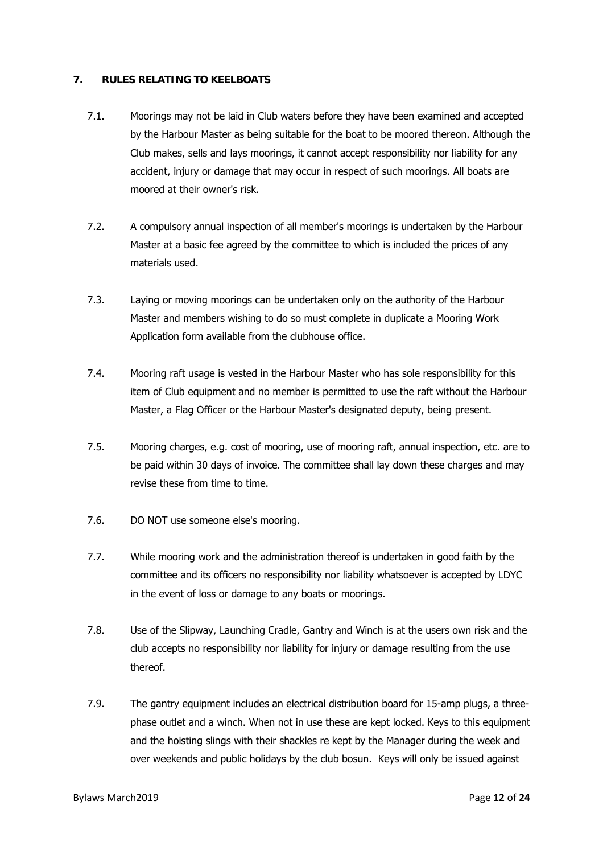# **7. RULES RELATING TO KEELBOATS**

- 7.1. Moorings may not be laid in Club waters before they have been examined and accepted by the Harbour Master as being suitable for the boat to be moored thereon. Although the Club makes, sells and lays moorings, it cannot accept responsibility nor liability for any accident, injury or damage that may occur in respect of such moorings. All boats are moored at their owner's risk.
- 7.2. A compulsory annual inspection of all member's moorings is undertaken by the Harbour Master at a basic fee agreed by the committee to which is included the prices of any materials used.
- 7.3. Laying or moving moorings can be undertaken only on the authority of the Harbour Master and members wishing to do so must complete in duplicate a Mooring Work Application form available from the clubhouse office.
- 7.4. Mooring raft usage is vested in the Harbour Master who has sole responsibility for this item of Club equipment and no member is permitted to use the raft without the Harbour Master, a Flag Officer or the Harbour Master's designated deputy, being present.
- 7.5. Mooring charges, e.g. cost of mooring, use of mooring raft, annual inspection, etc. are to be paid within 30 days of invoice. The committee shall lay down these charges and may revise these from time to time.
- 7.6. DO NOT use someone else's mooring.
- 7.7. While mooring work and the administration thereof is undertaken in good faith by the committee and its officers no responsibility nor liability whatsoever is accepted by LDYC in the event of loss or damage to any boats or moorings.
- 7.8. Use of the Slipway, Launching Cradle, Gantry and Winch is at the users own risk and the club accepts no responsibility nor liability for injury or damage resulting from the use thereof.
- 7.9. The gantry equipment includes an electrical distribution board for 15-amp plugs, a threephase outlet and a winch. When not in use these are kept locked. Keys to this equipment and the hoisting slings with their shackles re kept by the Manager during the week and over weekends and public holidays by the club bosun. Keys will only be issued against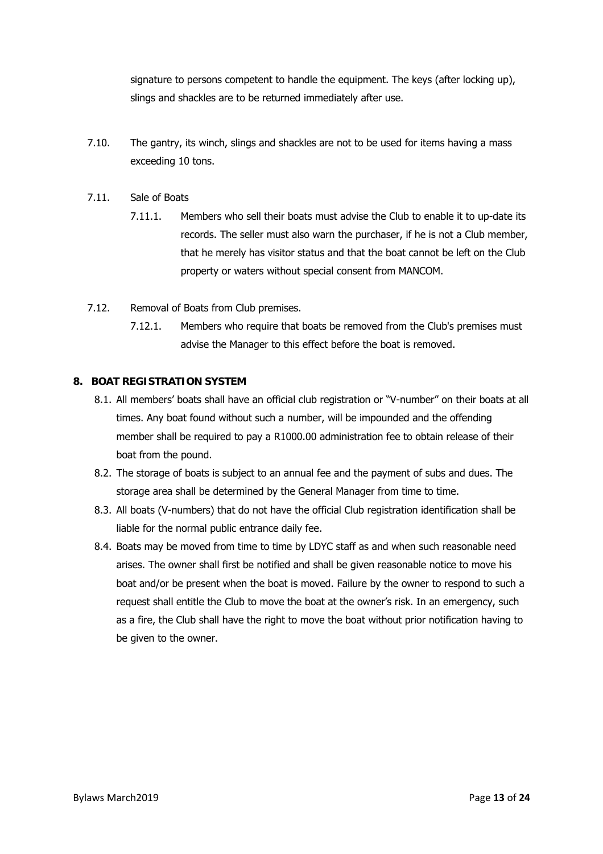signature to persons competent to handle the equipment. The keys (after locking up), slings and shackles are to be returned immediately after use.

- 7.10. The gantry, its winch, slings and shackles are not to be used for items having a mass exceeding 10 tons.
- 7.11. Sale of Boats
	- 7.11.1. Members who sell their boats must advise the Club to enable it to up-date its records. The seller must also warn the purchaser, if he is not a Club member, that he merely has visitor status and that the boat cannot be left on the Club property or waters without special consent from MANCOM.
- 7.12. Removal of Boats from Club premises.
	- 7.12.1. Members who require that boats be removed from the Club's premises must advise the Manager to this effect before the boat is removed.

#### **8. BOAT REGISTRATION SYSTEM**

- 8.1. All members' boats shall have an official club registration or "V-number" on their boats at all times. Any boat found without such a number, will be impounded and the offending member shall be required to pay a R1000.00 administration fee to obtain release of their boat from the pound.
- 8.2. The storage of boats is subject to an annual fee and the payment of subs and dues. The storage area shall be determined by the General Manager from time to time.
- 8.3. All boats (V-numbers) that do not have the official Club registration identification shall be liable for the normal public entrance daily fee.
- 8.4. Boats may be moved from time to time by LDYC staff as and when such reasonable need arises. The owner shall first be notified and shall be given reasonable notice to move his boat and/or be present when the boat is moved. Failure by the owner to respond to such a request shall entitle the Club to move the boat at the owner's risk. In an emergency, such as a fire, the Club shall have the right to move the boat without prior notification having to be given to the owner.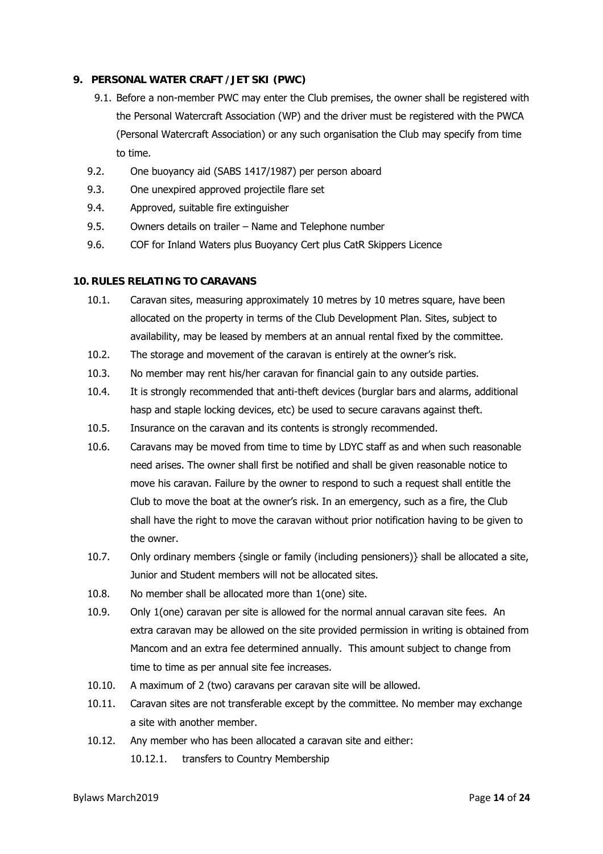#### **9. PERSONAL WATER CRAFT /JET SKI (PWC)**

- 9.1. Before a non-member PWC may enter the Club premises, the owner shall be registered with the Personal Watercraft Association (WP) and the driver must be registered with the PWCA (Personal Watercraft Association) or any such organisation the Club may specify from time to time.
- 9.2. One buoyancy aid (SABS 1417/1987) per person aboard
- 9.3. One unexpired approved projectile flare set
- 9.4. Approved, suitable fire extinguisher
- 9.5. Owners details on trailer Name and Telephone number
- 9.6. COF for Inland Waters plus Buoyancy Cert plus CatR Skippers Licence

#### **10. RULES RELATING TO CARAVANS**

- 10.1. Caravan sites, measuring approximately 10 metres by 10 metres square, have been allocated on the property in terms of the Club Development Plan. Sites, subject to availability, may be leased by members at an annual rental fixed by the committee.
- 10.2. The storage and movement of the caravan is entirely at the owner's risk.
- 10.3. No member may rent his/her caravan for financial gain to any outside parties.
- 10.4. It is strongly recommended that anti-theft devices (burglar bars and alarms, additional hasp and staple locking devices, etc) be used to secure caravans against theft.
- 10.5. Insurance on the caravan and its contents is strongly recommended.
- 10.6. Caravans may be moved from time to time by LDYC staff as and when such reasonable need arises. The owner shall first be notified and shall be given reasonable notice to move his caravan. Failure by the owner to respond to such a request shall entitle the Club to move the boat at the owner's risk. In an emergency, such as a fire, the Club shall have the right to move the caravan without prior notification having to be given to the owner.
- 10.7. Only ordinary members {single or family (including pensioners)} shall be allocated a site, Junior and Student members will not be allocated sites.
- 10.8. No member shall be allocated more than 1(one) site.
- 10.9. Only 1(one) caravan per site is allowed for the normal annual caravan site fees. An extra caravan may be allowed on the site provided permission in writing is obtained from Mancom and an extra fee determined annually. This amount subject to change from time to time as per annual site fee increases.
- 10.10. A maximum of 2 (two) caravans per caravan site will be allowed.
- 10.11. Caravan sites are not transferable except by the committee. No member may exchange a site with another member.
- 10.12. Any member who has been allocated a caravan site and either: 10.12.1. transfers to Country Membership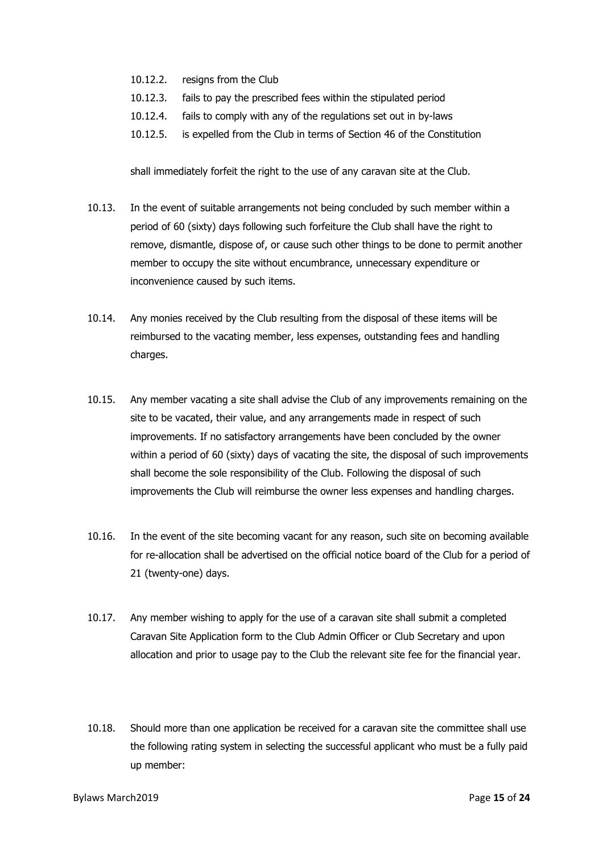- 10.12.2. resigns from the Club
- 10.12.3. fails to pay the prescribed fees within the stipulated period
- 10.12.4. fails to comply with any of the regulations set out in by-laws
- 10.12.5. is expelled from the Club in terms of Section 46 of the Constitution

shall immediately forfeit the right to the use of any caravan site at the Club.

- 10.13. In the event of suitable arrangements not being concluded by such member within a period of 60 (sixty) days following such forfeiture the Club shall have the right to remove, dismantle, dispose of, or cause such other things to be done to permit another member to occupy the site without encumbrance, unnecessary expenditure or inconvenience caused by such items.
- 10.14. Any monies received by the Club resulting from the disposal of these items will be reimbursed to the vacating member, less expenses, outstanding fees and handling charges.
- 10.15. Any member vacating a site shall advise the Club of any improvements remaining on the site to be vacated, their value, and any arrangements made in respect of such improvements. If no satisfactory arrangements have been concluded by the owner within a period of 60 (sixty) days of vacating the site, the disposal of such improvements shall become the sole responsibility of the Club. Following the disposal of such improvements the Club will reimburse the owner less expenses and handling charges.
- 10.16. In the event of the site becoming vacant for any reason, such site on becoming available for re-allocation shall be advertised on the official notice board of the Club for a period of 21 (twenty-one) days.
- 10.17. Any member wishing to apply for the use of a caravan site shall submit a completed Caravan Site Application form to the Club Admin Officer or Club Secretary and upon allocation and prior to usage pay to the Club the relevant site fee for the financial year.
- 10.18. Should more than one application be received for a caravan site the committee shall use the following rating system in selecting the successful applicant who must be a fully paid up member: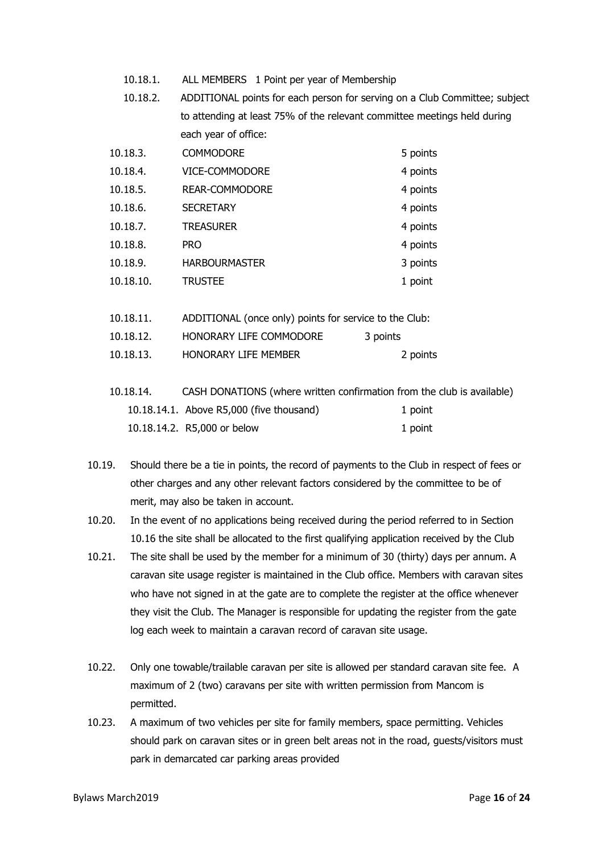- 10.18.1. ALL MEMBERS 1 Point per year of Membership
- 10.18.2. ADDITIONAL points for each person for serving on a Club Committee; subject to attending at least 75% of the relevant committee meetings held during each year of office:

| 10.18.3.  | <b>COMMODORE</b>     | 5 points |
|-----------|----------------------|----------|
| 10.18.4.  | VICE-COMMODORE       | 4 points |
| 10.18.5.  | REAR-COMMODORE       | 4 points |
| 10.18.6.  | <b>SECRETARY</b>     | 4 points |
| 10.18.7.  | <b>TREASURER</b>     | 4 points |
| 10.18.8.  | <b>PRO</b>           | 4 points |
| 10.18.9.  | <b>HARBOURMASTER</b> | 3 points |
| 10.18.10. | <b>TRUSTEE</b>       | 1 point  |

| 10.18.11. | ADDITIONAL (once only) points for service to the Club: |          |
|-----------|--------------------------------------------------------|----------|
| 10.18.12. | HONORARY LIFE COMMODORE                                | 3 points |
| 10.18.13. | <b>HONORARY LIFE MEMBER</b>                            | 2 points |

| 10.18.14. | CASH DONATIONS (where written confirmation from the club is available) |         |
|-----------|------------------------------------------------------------------------|---------|
|           | 10.18.14.1. Above R5,000 (five thousand)                               | 1 point |
|           | 10.18.14.2. R5,000 or below                                            | 1 point |

- 10.19. Should there be a tie in points, the record of payments to the Club in respect of fees or other charges and any other relevant factors considered by the committee to be of merit, may also be taken in account.
- 10.20. In the event of no applications being received during the period referred to in Section 10.16 the site shall be allocated to the first qualifying application received by the Club
- 10.21. The site shall be used by the member for a minimum of 30 (thirty) days per annum. A caravan site usage register is maintained in the Club office. Members with caravan sites who have not signed in at the gate are to complete the register at the office whenever they visit the Club. The Manager is responsible for updating the register from the gate log each week to maintain a caravan record of caravan site usage.
- 10.22. Only one towable/trailable caravan per site is allowed per standard caravan site fee. A maximum of 2 (two) caravans per site with written permission from Mancom is permitted.
- 10.23. A maximum of two vehicles per site for family members, space permitting. Vehicles should park on caravan sites or in green belt areas not in the road, guests/visitors must park in demarcated car parking areas provided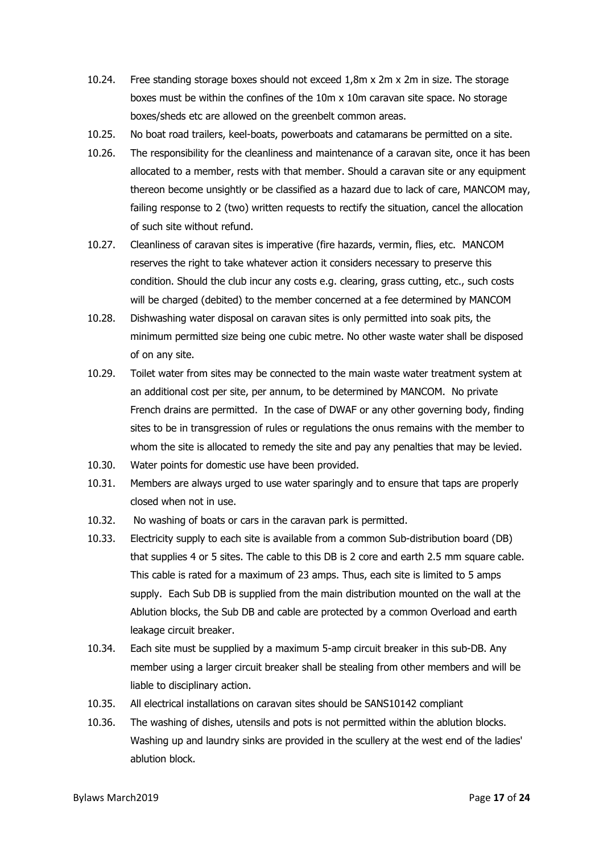- 10.24. Free standing storage boxes should not exceed 1,8m x 2m x 2m in size. The storage boxes must be within the confines of the 10m x 10m caravan site space. No storage boxes/sheds etc are allowed on the greenbelt common areas.
- 10.25. No boat road trailers, keel-boats, powerboats and catamarans be permitted on a site.
- 10.26. The responsibility for the cleanliness and maintenance of a caravan site, once it has been allocated to a member, rests with that member. Should a caravan site or any equipment thereon become unsightly or be classified as a hazard due to lack of care, MANCOM may, failing response to 2 (two) written requests to rectify the situation, cancel the allocation of such site without refund.
- 10.27. Cleanliness of caravan sites is imperative (fire hazards, vermin, flies, etc. MANCOM reserves the right to take whatever action it considers necessary to preserve this condition. Should the club incur any costs e.g. clearing, grass cutting, etc., such costs will be charged (debited) to the member concerned at a fee determined by MANCOM
- 10.28. Dishwashing water disposal on caravan sites is only permitted into soak pits, the minimum permitted size being one cubic metre. No other waste water shall be disposed of on any site.
- 10.29. Toilet water from sites may be connected to the main waste water treatment system at an additional cost per site, per annum, to be determined by MANCOM. No private French drains are permitted. In the case of DWAF or any other governing body, finding sites to be in transgression of rules or regulations the onus remains with the member to whom the site is allocated to remedy the site and pay any penalties that may be levied.
- 10.30. Water points for domestic use have been provided.
- 10.31. Members are always urged to use water sparingly and to ensure that taps are properly closed when not in use.
- 10.32. No washing of boats or cars in the caravan park is permitted.
- 10.33. Electricity supply to each site is available from a common Sub-distribution board (DB) that supplies 4 or 5 sites. The cable to this DB is 2 core and earth 2.5 mm square cable. This cable is rated for a maximum of 23 amps. Thus, each site is limited to 5 amps supply. Each Sub DB is supplied from the main distribution mounted on the wall at the Ablution blocks, the Sub DB and cable are protected by a common Overload and earth leakage circuit breaker.
- 10.34. Each site must be supplied by a maximum 5-amp circuit breaker in this sub-DB. Any member using a larger circuit breaker shall be stealing from other members and will be liable to disciplinary action.
- 10.35. All electrical installations on caravan sites should be SANS10142 compliant
- 10.36. The washing of dishes, utensils and pots is not permitted within the ablution blocks. Washing up and laundry sinks are provided in the scullery at the west end of the ladies' ablution block.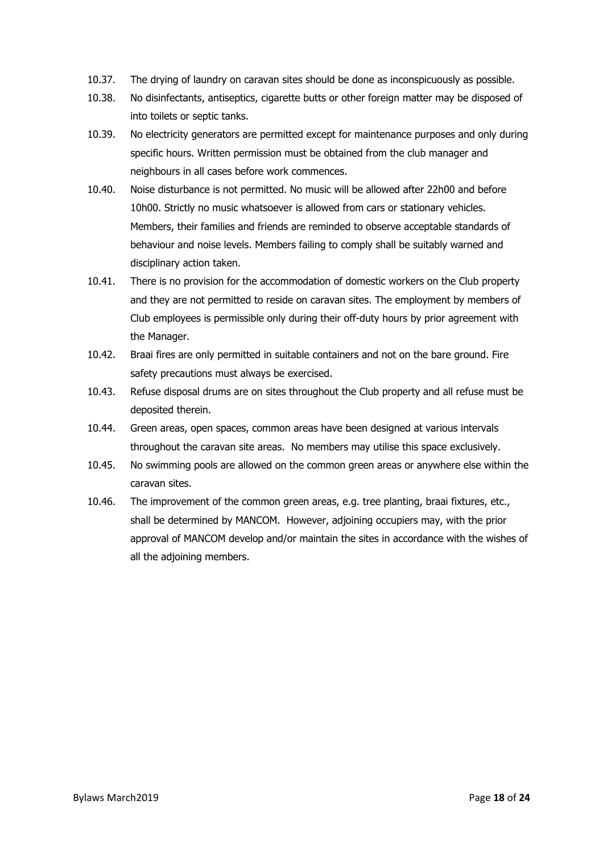- 10.37. The drying of laundry on caravan sites should be done as inconspicuously as possible.
- 10.38. No disinfectants, antiseptics, cigarette butts or other foreign matter may be disposed of into toilets or septic tanks.
- 10.39. No electricity generators are permitted except for maintenance purposes and only during specific hours. Written permission must be obtained from the club manager and neighbours in all cases before work commences.
- 10.40. Noise disturbance is not permitted. No music will be allowed after 22h00 and before 10h00. Strictly no music whatsoever is allowed from cars or stationary vehicles. Members, their families and friends are reminded to observe acceptable standards of behaviour and noise levels. Members failing to comply shall be suitably warned and disciplinary action taken.
- 10.41. There is no provision for the accommodation of domestic workers on the Club property and they are not permitted to reside on caravan sites. The employment by members of Club employees is permissible only during their off-duty hours by prior agreement with the Manager.
- 10.42. Braai fires are only permitted in suitable containers and not on the bare ground. Fire safety precautions must always be exercised.
- 10.43. Refuse disposal drums are on sites throughout the Club property and all refuse must be deposited therein.
- 10.44. Green areas, open spaces, common areas have been designed at various intervals throughout the caravan site areas. No members may utilise this space exclusively.
- 10.45. No swimming pools are allowed on the common green areas or anywhere else within the caravan sites.
- 10.46. The improvement of the common green areas, e.g. tree planting, braai fixtures, etc., shall be determined by MANCOM. However, adjoining occupiers may, with the prior approval of MANCOM develop and/or maintain the sites in accordance with the wishes of all the adjoining members.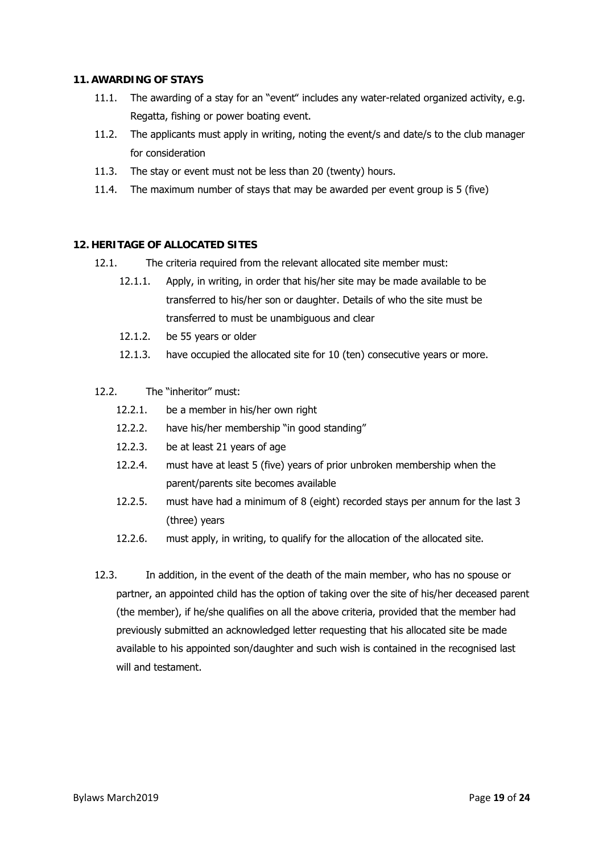#### **11. AWARDING OF STAYS**

- 11.1. The awarding of a stay for an "event" includes any water-related organized activity, e.g. Regatta, fishing or power boating event.
- 11.2. The applicants must apply in writing, noting the event/s and date/s to the club manager for consideration
- 11.3. The stay or event must not be less than 20 (twenty) hours.
- 11.4. The maximum number of stays that may be awarded per event group is 5 (five)

# **12. HERITAGE OF ALLOCATED SITES**

- 12.1. The criteria required from the relevant allocated site member must:
	- 12.1.1. Apply, in writing, in order that his/her site may be made available to be transferred to his/her son or daughter. Details of who the site must be transferred to must be unambiguous and clear
	- 12.1.2. be 55 years or older
	- 12.1.3. have occupied the allocated site for 10 (ten) consecutive years or more.
- 12.2. The "inheritor" must:
	- 12.2.1. be a member in his/her own right
	- 12.2.2. have his/her membership "in good standing"
	- 12.2.3. be at least 21 years of age
	- 12.2.4. must have at least 5 (five) years of prior unbroken membership when the parent/parents site becomes available
	- 12.2.5. must have had a minimum of 8 (eight) recorded stays per annum for the last 3 (three) years
	- 12.2.6. must apply, in writing, to qualify for the allocation of the allocated site.
- 12.3. In addition, in the event of the death of the main member, who has no spouse or partner, an appointed child has the option of taking over the site of his/her deceased parent (the member), if he/she qualifies on all the above criteria, provided that the member had previously submitted an acknowledged letter requesting that his allocated site be made available to his appointed son/daughter and such wish is contained in the recognised last will and testament.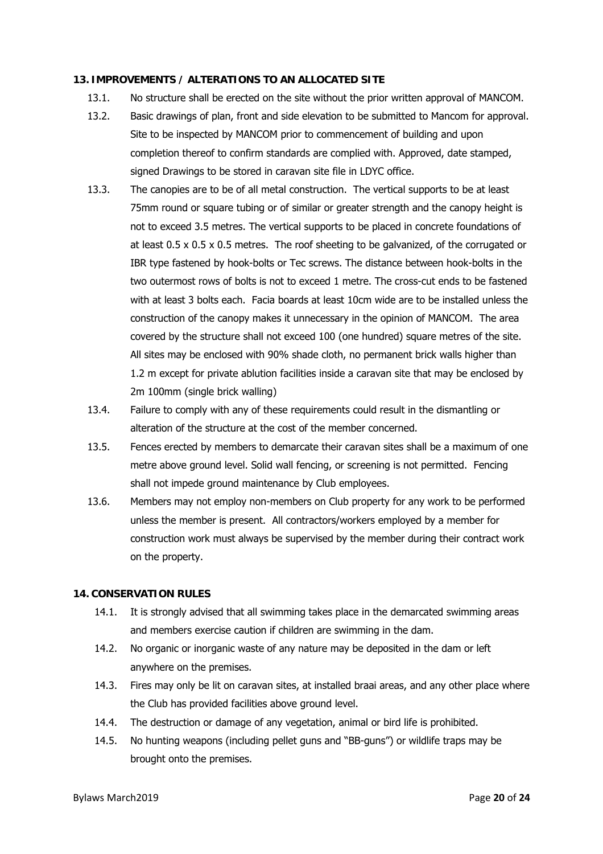#### **13. IMPROVEMENTS / ALTERATIONS TO AN ALLOCATED SITE**

- 13.1. No structure shall be erected on the site without the prior written approval of MANCOM.
- 13.2. Basic drawings of plan, front and side elevation to be submitted to Mancom for approval. Site to be inspected by MANCOM prior to commencement of building and upon completion thereof to confirm standards are complied with. Approved, date stamped, signed Drawings to be stored in caravan site file in LDYC office.
- 13.3. The canopies are to be of all metal construction. The vertical supports to be at least 75mm round or square tubing or of similar or greater strength and the canopy height is not to exceed 3.5 metres. The vertical supports to be placed in concrete foundations of at least 0.5 x 0.5 x 0.5 metres. The roof sheeting to be galvanized, of the corrugated or IBR type fastened by hook-bolts or Tec screws. The distance between hook-bolts in the two outermost rows of bolts is not to exceed 1 metre. The cross-cut ends to be fastened with at least 3 bolts each. Facia boards at least 10cm wide are to be installed unless the construction of the canopy makes it unnecessary in the opinion of MANCOM. The area covered by the structure shall not exceed 100 (one hundred) square metres of the site. All sites may be enclosed with 90% shade cloth, no permanent brick walls higher than 1.2 m except for private ablution facilities inside a caravan site that may be enclosed by 2m 100mm (single brick walling)
- 13.4. Failure to comply with any of these requirements could result in the dismantling or alteration of the structure at the cost of the member concerned.
- 13.5. Fences erected by members to demarcate their caravan sites shall be a maximum of one metre above ground level. Solid wall fencing, or screening is not permitted. Fencing shall not impede ground maintenance by Club employees.
- 13.6. Members may not employ non-members on Club property for any work to be performed unless the member is present. All contractors/workers employed by a member for construction work must always be supervised by the member during their contract work on the property.

#### **14. CONSERVATION RULES**

- 14.1. It is strongly advised that all swimming takes place in the demarcated swimming areas and members exercise caution if children are swimming in the dam.
- 14.2. No organic or inorganic waste of any nature may be deposited in the dam or left anywhere on the premises.
- 14.3. Fires may only be lit on caravan sites, at installed braai areas, and any other place where the Club has provided facilities above ground level.
- 14.4. The destruction or damage of any vegetation, animal or bird life is prohibited.
- 14.5. No hunting weapons (including pellet guns and "BB-guns") or wildlife traps may be brought onto the premises.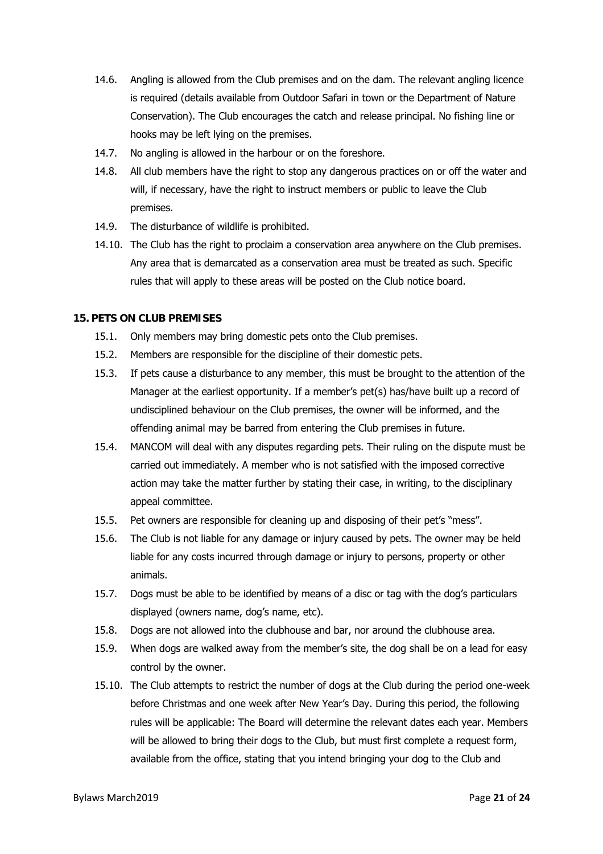- 14.6. Angling is allowed from the Club premises and on the dam. The relevant angling licence is required (details available from Outdoor Safari in town or the Department of Nature Conservation). The Club encourages the catch and release principal. No fishing line or hooks may be left lying on the premises.
- 14.7. No angling is allowed in the harbour or on the foreshore.
- 14.8. All club members have the right to stop any dangerous practices on or off the water and will, if necessary, have the right to instruct members or public to leave the Club premises.
- 14.9. The disturbance of wildlife is prohibited.
- 14.10. The Club has the right to proclaim a conservation area anywhere on the Club premises. Any area that is demarcated as a conservation area must be treated as such. Specific rules that will apply to these areas will be posted on the Club notice board.

#### **15. PETS ON CLUB PREMISES**

- 15.1. Only members may bring domestic pets onto the Club premises.
- 15.2. Members are responsible for the discipline of their domestic pets.
- 15.3. If pets cause a disturbance to any member, this must be brought to the attention of the Manager at the earliest opportunity. If a member's pet(s) has/have built up a record of undisciplined behaviour on the Club premises, the owner will be informed, and the offending animal may be barred from entering the Club premises in future.
- 15.4. MANCOM will deal with any disputes regarding pets. Their ruling on the dispute must be carried out immediately. A member who is not satisfied with the imposed corrective action may take the matter further by stating their case, in writing, to the disciplinary appeal committee.
- 15.5. Pet owners are responsible for cleaning up and disposing of their pet's "mess".
- 15.6. The Club is not liable for any damage or injury caused by pets. The owner may be held liable for any costs incurred through damage or injury to persons, property or other animals.
- 15.7. Dogs must be able to be identified by means of a disc or tag with the dog's particulars displayed (owners name, dog's name, etc).
- 15.8. Dogs are not allowed into the clubhouse and bar, nor around the clubhouse area.
- 15.9. When dogs are walked away from the member's site, the dog shall be on a lead for easy control by the owner.
- 15.10. The Club attempts to restrict the number of dogs at the Club during the period one-week before Christmas and one week after New Year's Day. During this period, the following rules will be applicable: The Board will determine the relevant dates each year. Members will be allowed to bring their dogs to the Club, but must first complete a request form, available from the office, stating that you intend bringing your dog to the Club and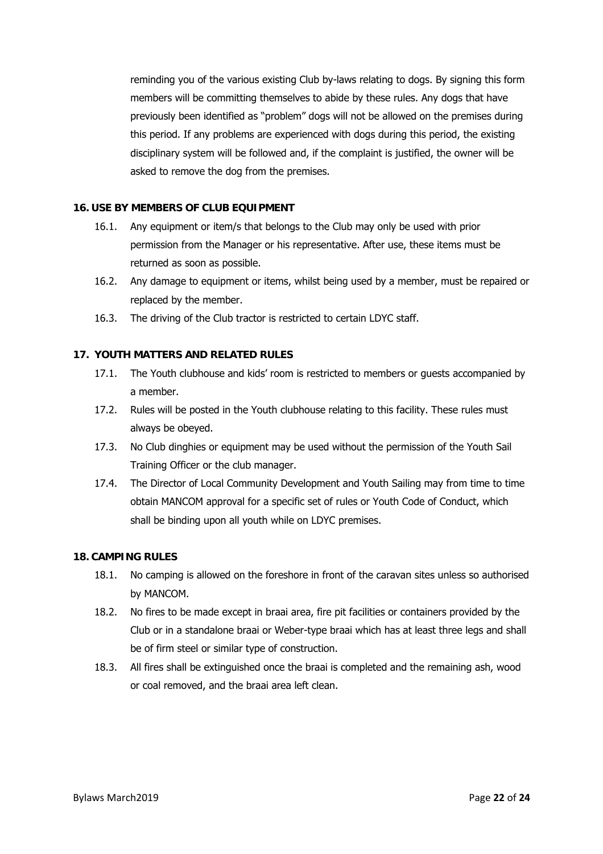reminding you of the various existing Club by-laws relating to dogs. By signing this form members will be committing themselves to abide by these rules. Any dogs that have previously been identified as "problem" dogs will not be allowed on the premises during this period. If any problems are experienced with dogs during this period, the existing disciplinary system will be followed and, if the complaint is justified, the owner will be asked to remove the dog from the premises.

#### **16. USE BY MEMBERS OF CLUB EQUIPMENT**

- 16.1. Any equipment or item/s that belongs to the Club may only be used with prior permission from the Manager or his representative. After use, these items must be returned as soon as possible.
- 16.2. Any damage to equipment or items, whilst being used by a member, must be repaired or replaced by the member.
- 16.3. The driving of the Club tractor is restricted to certain LDYC staff.

# **17. YOUTH MATTERS AND RELATED RULES**

- 17.1. The Youth clubhouse and kids' room is restricted to members or guests accompanied by a member.
- 17.2. Rules will be posted in the Youth clubhouse relating to this facility. These rules must always be obeyed.
- 17.3. No Club dinghies or equipment may be used without the permission of the Youth Sail Training Officer or the club manager.
- 17.4. The Director of Local Community Development and Youth Sailing may from time to time obtain MANCOM approval for a specific set of rules or Youth Code of Conduct, which shall be binding upon all youth while on LDYC premises.

#### **18. CAMPING RULES**

- 18.1. No camping is allowed on the foreshore in front of the caravan sites unless so authorised by MANCOM.
- 18.2. No fires to be made except in braai area, fire pit facilities or containers provided by the Club or in a standalone braai or Weber-type braai which has at least three legs and shall be of firm steel or similar type of construction.
- 18.3. All fires shall be extinguished once the braai is completed and the remaining ash, wood or coal removed, and the braai area left clean.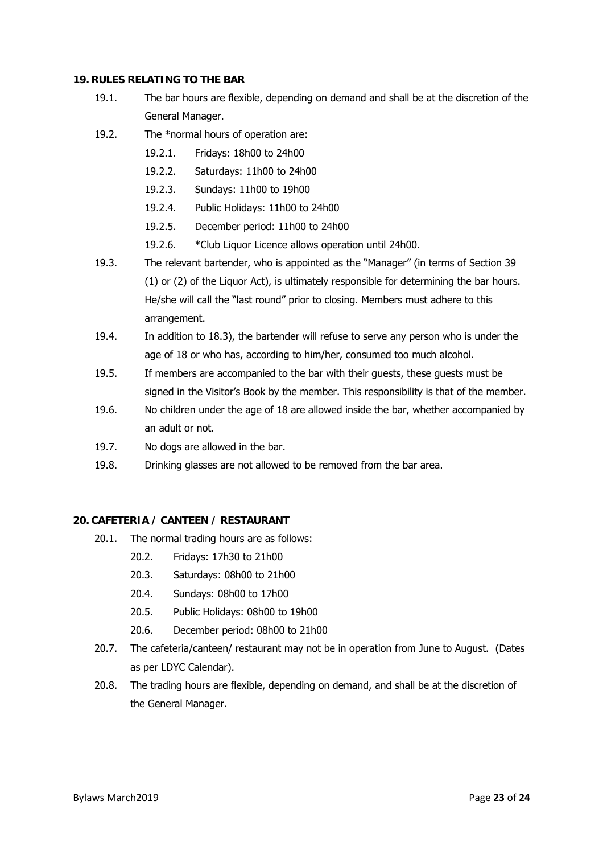#### **19. RULES RELATING TO THE BAR**

- 19.1. The bar hours are flexible, depending on demand and shall be at the discretion of the General Manager.
- 19.2. The \*normal hours of operation are:
	- 19.2.1. Fridays: 18h00 to 24h00
	- 19.2.2. Saturdays: 11h00 to 24h00
	- 19.2.3. Sundays: 11h00 to 19h00
	- 19.2.4. Public Holidays: 11h00 to 24h00
	- 19.2.5. December period: 11h00 to 24h00
	- 19.2.6. \*Club Liquor Licence allows operation until 24h00.
- 19.3. The relevant bartender, who is appointed as the "Manager" (in terms of Section 39 (1) or (2) of the Liquor Act), is ultimately responsible for determining the bar hours. He/she will call the "last round" prior to closing. Members must adhere to this arrangement.
- 19.4. In addition to 18.3), the bartender will refuse to serve any person who is under the age of 18 or who has, according to him/her, consumed too much alcohol.
- 19.5. If members are accompanied to the bar with their guests, these guests must be signed in the Visitor's Book by the member. This responsibility is that of the member.
- 19.6. No children under the age of 18 are allowed inside the bar, whether accompanied by an adult or not.
- 19.7. No dogs are allowed in the bar.
- 19.8. Drinking glasses are not allowed to be removed from the bar area.

#### **20. CAFETERIA / CANTEEN / RESTAURANT**

- 20.1. The normal trading hours are as follows:
	- 20.2. Fridays: 17h30 to 21h00
	- 20.3. Saturdays: 08h00 to 21h00
	- 20.4. Sundays: 08h00 to 17h00
	- 20.5. Public Holidays: 08h00 to 19h00
	- 20.6. December period: 08h00 to 21h00
- 20.7. The cafeteria/canteen/ restaurant may not be in operation from June to August. (Dates as per LDYC Calendar).
- 20.8. The trading hours are flexible, depending on demand, and shall be at the discretion of the General Manager.